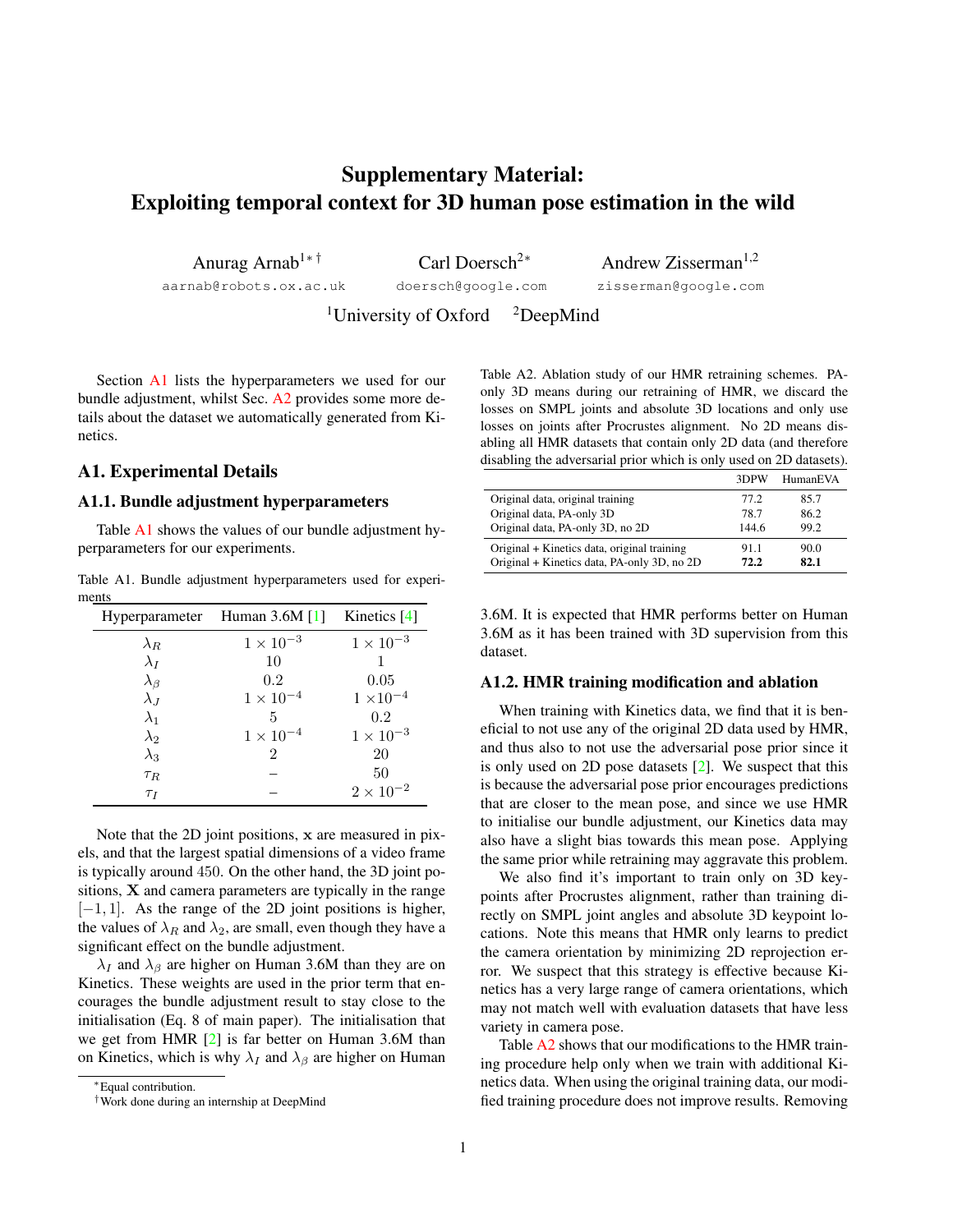# <span id="page-0-3"></span>Supplementary Material: Exploiting temporal context for 3D human pose estimation in the wild

Anurag Arnab<sup>1</sup>∗ †

aarnab@robots.ox.ac.uk

Carl Doersch<sup>2∗</sup> doersch@google.com

Andrew Zisserman<sup>1,2</sup> zisserman@google.com

<sup>1</sup>University of Oxford  $\alpha$ <sup>2</sup>DeepMind

Section [A1](#page-0-0) lists the hyperparameters we used for our bundle adjustment, whilst Sec. [A2](#page-1-0) provides some more details about the dataset we automatically generated from Kinetics.

## <span id="page-0-0"></span>A1. Experimental Details

### A1.1. Bundle adjustment hyperparameters

Table [A1](#page-0-1) shows the values of our bundle adjustment hyperparameters for our experiments.

<span id="page-0-1"></span>Table A1. Bundle adjustment hyperparameters used for experiments

|                   | Hyperparameter Human 3.6M [1] | Kinetics [4]       |
|-------------------|-------------------------------|--------------------|
| $\lambda_R$       | $1 \times 10^{-3}$            | $1 \times 10^{-3}$ |
| $\lambda_I$       | 10                            |                    |
| $\lambda_{\beta}$ | 0.2                           | 0.05               |
| $\lambda_J$       | $1 \times 10^{-4}$            | $1 \times 10^{-4}$ |
| $\lambda_1$       | 5                             | 0.2                |
| $\lambda_2$       | $1 \times 10^{-4}$            | $1 \times 10^{-3}$ |
| $\lambda_3$       | $\mathfrak{D}$                | 20                 |
| $\tau_R$          |                               | 50                 |
| $\tau_I$          |                               | $2 \times 10^{-2}$ |

Note that the 2D joint positions, x are measured in pixels, and that the largest spatial dimensions of a video frame is typically around 450. On the other hand, the 3D joint positions,  $X$  and camera parameters are typically in the range  $[-1, 1]$ . As the range of the 2D joint positions is higher, the values of  $\lambda_R$  and  $\lambda_2$ , are small, even though they have a significant effect on the bundle adjustment.

 $\lambda_I$  and  $\lambda_\beta$  are higher on Human 3.6M than they are on Kinetics. These weights are used in the prior term that encourages the bundle adjustment result to stay close to the initialisation (Eq. 8 of main paper). The initialisation that we get from HMR [\[2\]](#page-1-3) is far better on Human 3.6M than on Kinetics, which is why  $\lambda_I$  and  $\lambda_\beta$  are higher on Human <span id="page-0-2"></span>Table A2. Ablation study of our HMR retraining schemes. PAonly 3D means during our retraining of HMR, we discard the losses on SMPL joints and absolute 3D locations and only use losses on joints after Procrustes alignment. No 2D means disabling all HMR datasets that contain only 2D data (and therefore disabling the adversarial prior which is only used on 2D datasets).

|                                             | 3DPW  | HumanEVA |
|---------------------------------------------|-------|----------|
| Original data, original training            | 77.2  | 85.7     |
| Original data, PA-only 3D                   | 78.7  | 86.2     |
| Original data, PA-only 3D, no 2D            | 144.6 | 99.2     |
| Original + Kinetics data, original training | 911   | 90.0     |
| Original + Kinetics data, PA-only 3D, no 2D | 72.2  | 82.1     |

3.6M. It is expected that HMR performs better on Human 3.6M as it has been trained with 3D supervision from this dataset.

#### A1.2. HMR training modification and ablation

When training with Kinetics data, we find that it is beneficial to not use any of the original 2D data used by HMR, and thus also to not use the adversarial pose prior since it is only used on 2D pose datasets [\[2\]](#page-1-3). We suspect that this is because the adversarial pose prior encourages predictions that are closer to the mean pose, and since we use HMR to initialise our bundle adjustment, our Kinetics data may also have a slight bias towards this mean pose. Applying the same prior while retraining may aggravate this problem.

We also find it's important to train only on 3D keypoints after Procrustes alignment, rather than training directly on SMPL joint angles and absolute 3D keypoint locations. Note this means that HMR only learns to predict the camera orientation by minimizing 2D reprojection error. We suspect that this strategy is effective because Kinetics has a very large range of camera orientations, which may not match well with evaluation datasets that have less variety in camera pose.

Table [A2](#page-0-2) shows that our modifications to the HMR training procedure help only when we train with additional Kinetics data. When using the original training data, our modified training procedure does not improve results. Removing

<sup>∗</sup>Equal contribution.

<sup>†</sup>Work done during an internship at DeepMind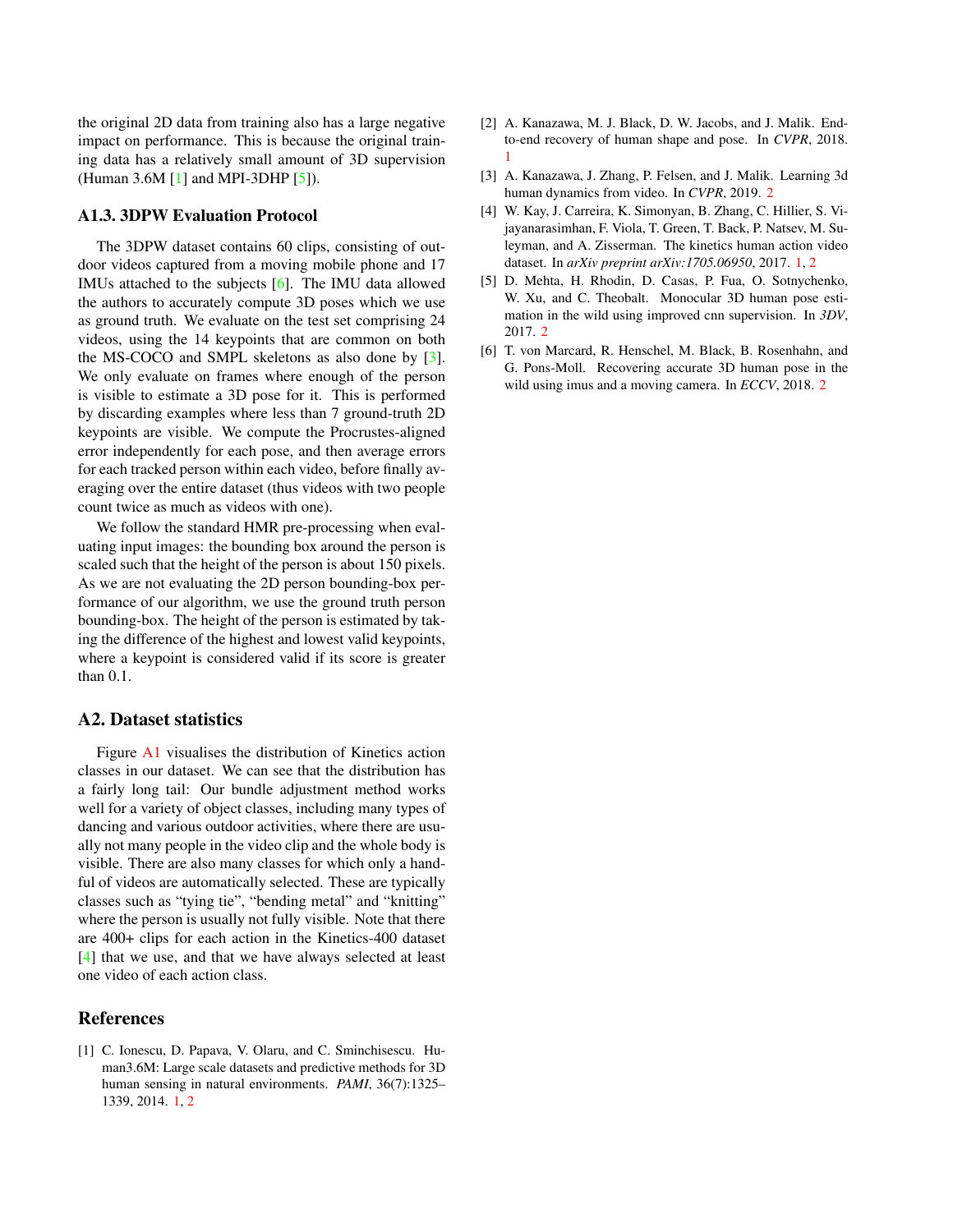<span id="page-1-7"></span>the original 2D data from training also has a large negative impact on performance. This is because the original training data has a relatively small amount of 3D supervision (Human 3.6M [\[1\]](#page-1-1) and MPI-3DHP [\[5\]](#page-1-4)).

## A1.3. 3DPW Evaluation Protocol

The 3DPW dataset contains 60 clips, consisting of outdoor videos captured from a moving mobile phone and 17 IMUs attached to the subjects [\[6\]](#page-1-5). The IMU data allowed the authors to accurately compute 3D poses which we use as ground truth. We evaluate on the test set comprising 24 videos, using the 14 keypoints that are common on both the MS-COCO and SMPL skeletons as also done by [\[3\]](#page-1-6). We only evaluate on frames where enough of the person is visible to estimate a 3D pose for it. This is performed by discarding examples where less than 7 ground-truth 2D keypoints are visible. We compute the Procrustes-aligned error independently for each pose, and then average errors for each tracked person within each video, before finally averaging over the entire dataset (thus videos with two people count twice as much as videos with one).

We follow the standard HMR pre-processing when evaluating input images: the bounding box around the person is scaled such that the height of the person is about 150 pixels. As we are not evaluating the 2D person bounding-box performance of our algorithm, we use the ground truth person bounding-box. The height of the person is estimated by taking the difference of the highest and lowest valid keypoints, where a keypoint is considered valid if its score is greater than 0.1.

## <span id="page-1-0"></span>A2. Dataset statistics

Figure [A1](#page-2-0) visualises the distribution of Kinetics action classes in our dataset. We can see that the distribution has a fairly long tail: Our bundle adjustment method works well for a variety of object classes, including many types of dancing and various outdoor activities, where there are usually not many people in the video clip and the whole body is visible. There are also many classes for which only a handful of videos are automatically selected. These are typically classes such as "tying tie", "bending metal" and "knitting" where the person is usually not fully visible. Note that there are 400+ clips for each action in the Kinetics-400 dataset [\[4\]](#page-1-2) that we use, and that we have always selected at least one video of each action class.

## References

<span id="page-1-1"></span>[1] C. Ionescu, D. Papava, V. Olaru, and C. Sminchisescu. Human3.6M: Large scale datasets and predictive methods for 3D human sensing in natural environments. *PAMI*, 36(7):1325– 1339, 2014. [1,](#page-0-3) [2](#page-1-7)

- <span id="page-1-3"></span>[2] A. Kanazawa, M. J. Black, D. W. Jacobs, and J. Malik. Endto-end recovery of human shape and pose. In *CVPR*, 2018. [1](#page-0-3)
- <span id="page-1-6"></span>[3] A. Kanazawa, J. Zhang, P. Felsen, and J. Malik. Learning 3d human dynamics from video. In *CVPR*, 2019. [2](#page-1-7)
- <span id="page-1-2"></span>[4] W. Kay, J. Carreira, K. Simonyan, B. Zhang, C. Hillier, S. Vijayanarasimhan, F. Viola, T. Green, T. Back, P. Natsev, M. Suleyman, and A. Zisserman. The kinetics human action video dataset. In *arXiv preprint arXiv:1705.06950*, 2017. [1,](#page-0-3) [2](#page-1-7)
- <span id="page-1-4"></span>[5] D. Mehta, H. Rhodin, D. Casas, P. Fua, O. Sotnychenko, W. Xu, and C. Theobalt. Monocular 3D human pose estimation in the wild using improved cnn supervision. In *3DV*, 2017. [2](#page-1-7)
- <span id="page-1-5"></span>[6] T. von Marcard, R. Henschel, M. Black, B. Rosenhahn, and G. Pons-Moll. Recovering accurate 3D human pose in the wild using imus and a moving camera. In *ECCV*, 2018. [2](#page-1-7)